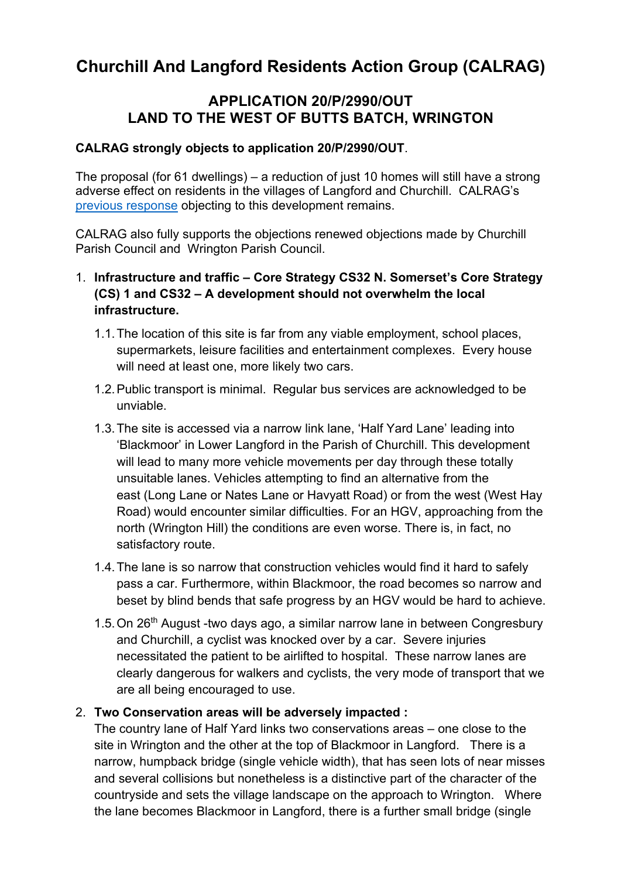# **Churchill And Langford Residents Action Group (CALRAG)**

# **APPLICATION 20/P/2990/OUT LAND TO THE WEST OF BUTTS BATCH, WRINGTON**

#### **CALRAG strongly objects to application 20/P/2990/OUT**.

The proposal (for 61 dwellings) – a reduction of just 10 homes will still have a strong adverse effect on residents in the villages of Langford and Churchill. CALRAG's previous response objecting to this development remains.

CALRAG also fully supports the objections renewed objections made by Churchill Parish Council and Wrington Parish Council.

# 1. **Infrastructure and traffic – Core Strategy CS32 N. Somerset's Core Strategy (CS) 1 and CS32 – A development should not overwhelm the local infrastructure.**

- 1.1.The location of this site is far from any viable employment, school places, supermarkets, leisure facilities and entertainment complexes. Every house will need at least one, more likely two cars.
- 1.2.Public transport is minimal. Regular bus services are acknowledged to be unviable.
- 1.3.The site is accessed via a narrow link lane, 'Half Yard Lane' leading into 'Blackmoor' in Lower Langford in the Parish of Churchill. This development will lead to many more vehicle movements per day through these totally unsuitable lanes. Vehicles attempting to find an alternative from the east (Long Lane or Nates Lane or Havyatt Road) or from the west (West Hay Road) would encounter similar difficulties. For an HGV, approaching from the north (Wrington Hill) the conditions are even worse. There is, in fact, no satisfactory route.
- 1.4.The lane is so narrow that construction vehicles would find it hard to safely pass a car. Furthermore, within Blackmoor, the road becomes so narrow and beset by blind bends that safe progress by an HGV would be hard to achieve.
- 1.5. On 26<sup>th</sup> August -two days ago, a similar narrow lane in between Congresbury and Churchill, a cyclist was knocked over by a car. Severe injuries necessitated the patient to be airlifted to hospital. These narrow lanes are clearly dangerous for walkers and cyclists, the very mode of transport that we are all being encouraged to use.

#### 2. **Two Conservation areas will be adversely impacted :**

The country lane of Half Yard links two conservations areas – one close to the site in Wrington and the other at the top of Blackmoor in Langford. There is a narrow, humpback bridge (single vehicle width), that has seen lots of near misses and several collisions but nonetheless is a distinctive part of the character of the countryside and sets the village landscape on the approach to Wrington. Where the lane becomes Blackmoor in Langford, there is a further small bridge (single